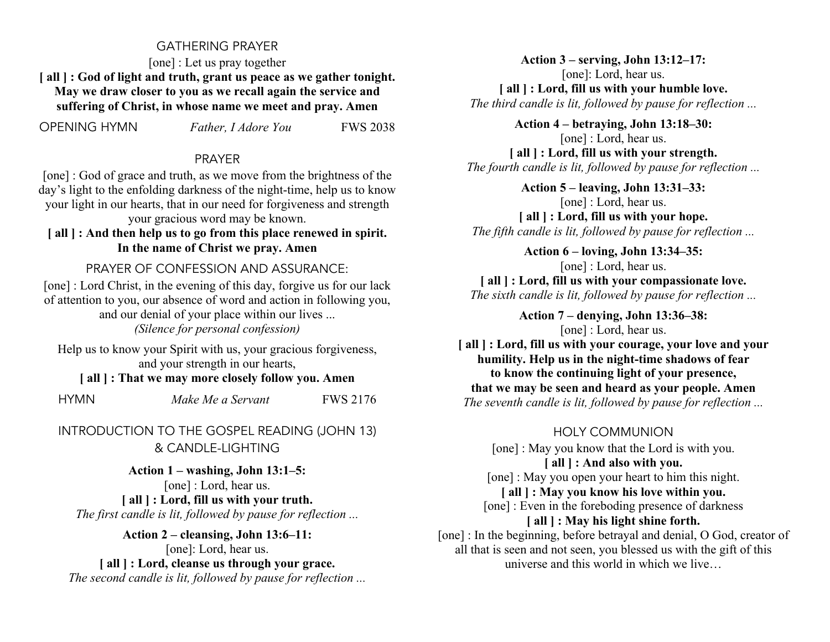#### GATHERING PRAYER

[one] : Let us pray together **[ all ] : God of light and truth, grant us peace as we gather tonight. May we draw closer to you as we recall again the service and suffering of Christ, in whose name we meet and pray. Amen**

OPENING HYMN *Father, I Adore You* FWS 2038

#### PRAYER

[one] : God of grace and truth, as we move from the brightness of the day's light to the enfolding darkness of the night-time, help us to know your light in our hearts, that in our need for forgiveness and strength your gracious word may be known.

**[ all ] : And then help us to go from this place renewed in spirit. In the name of Christ we pray. Amen**

PRAYER OF CONFESSION AND ASSURANCE:

[one] : Lord Christ, in the evening of this day, forgive us for our lack of attention to you, our absence of word and action in following you, and our denial of your place within our lives ... *(Silence for personal confession)*

Help us to know your Spirit with us, your gracious forgiveness, and your strength in our hearts,

**[ all ] : That we may more closely follow you. Amen**

HYMN *Make Me a Servant* FWS 2176

INTRODUCTION TO THE GOSPEL READING (JOHN 13) & CANDLE-LIGHTING

**Action 1 – washing, John 13:1–5:** [one] : Lord, hear us. **[ all ] : Lord, fill us with your truth.** *The first candle is lit, followed by pause for reflection ...*

**Action 2 – cleansing, John 13:6–11:** [one]: Lord, hear us. **[ all ] : Lord, cleanse us through your grace.** *The second candle is lit, followed by pause for reflection ...*

**Action 3 – serving, John 13:12–17:** [one]: Lord, hear us. **[ all ] : Lord, fill us with your humble love.** *The third candle is lit, followed by pause for reflection ...*

**Action 4 – betraying, John 13:18–30:** [one] : Lord, hear us. **[ all ] : Lord, fill us with your strength.** *The fourth candle is lit, followed by pause for reflection ...*

**Action 5 – leaving, John 13:31–33:** [one] : Lord, hear us. **[ all ] : Lord, fill us with your hope.** *The fifth candle is lit, followed by pause for reflection ...*

**Action 6 – loving, John 13:34–35:** [one] : Lord, hear us. **[ all ] : Lord, fill us with your compassionate love.** *The sixth candle is lit, followed by pause for reflection ...*

> **Action 7 – denying, John 13:36–38:** [one] : Lord, hear us.

**[ all ] : Lord, fill us with your courage, your love and your humility. Help us in the night-time shadows of fear to know the continuing light of your presence, that we may be seen and heard as your people. Amen** *The seventh candle is lit, followed by pause for reflection ...*

### HOLY COMMUNION

[one] : May you know that the Lord is with you. **[ all ] : And also with you.** [one] : May you open your heart to him this night. **[ all ] : May you know his love within you.** [one] : Even in the foreboding presence of darkness **[ all ] : May his light shine forth.** [one] : In the beginning, before betrayal and denial, O God, creator of all that is seen and not seen, you blessed us with the gift of this universe and this world in which we live…